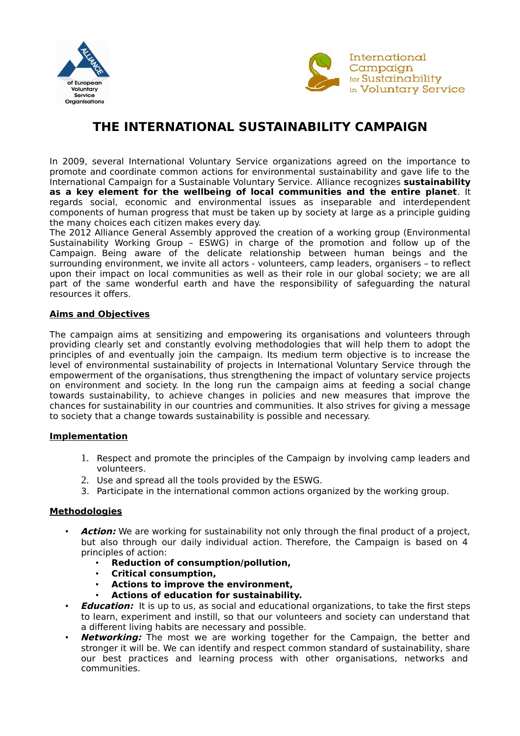



# **THE INTERNATIONAL SUSTAINABILITY CAMPAIGN**

In 2009, several International Voluntary Service organizations agreed on the importance to promote and coordinate common actions for environmental sustainability and gave life to the International Campaign for a Sustainable Voluntary Service.
 Alliance recognizes **sustainability as a key element for the wellbeing of local communities and the entire planet**.
 It regards social, economic and environmental issues as inseparable and interdependent components of human progress that must be taken up by society at large as a principle guiding the many choices each citizen makes every day.

The 2012 Alliance General Assembly approved the creation of a working group (Environmental Sustainability Working Group – ESWG) in charge of the promotion and follow up of the Campaign.
 Being aware of the delicate relationship between human beings and the surrounding environment, we invite all actors - volunteers, camp leaders, organisers – to reflect upon their impact on local communities as well as their role in our global society; we are all part of the same wonderful earth and have the responsibility of safeguarding the natural resources it offers.

#### **Aims and Objectives**

The campaign aims at sensitizing and empowering its organisations and volunteers through providing clearly set and constantly evolving methodologies that will help them to adopt the principles of and eventually join the campaign. Its medium term objective is to increase the level of environmental sustainability of projects in International Voluntary Service through the empowerment of the organisations, thus strengthening the impact of voluntary service projects on environment and society.
 In the long run the campaign aims at feeding a social change towards sustainability, to achieve changes in policies and new measures that improve the chances for sustainability in our countries and communities.
 It also strives for giving a message to society that a change towards sustainability is possible and necessary.

## **Implementation**

- 1. Respect and promote the principles of the Campaign by involving camp leaders and volunteers.
- 2. Use and spread all the tools provided by the ESWG.
- 3. Participate in the international common actions organized by the working group.

## **Methodologies**

- **Action:** We are working for sustainability not only through the final product of a project, but also through our daily individual action.
 Therefore, the Campaign is based on 4 principles of action:
	- **Reduction of consumption/pollution,**
	- **Critical consumption,**
	- **Actions to improve the environment,**
	- **Actions of education for sustainability.**
- **Education:** It is up to us, as social and educational organizations, to take the first steps to learn, experiment and instill, so that our volunteers and society can understand that a different living habits are necessary and possible.
- **Networking:** The most we are working together for the Campaign, the better and stronger it will be.
 We can identify and respect common standard of sustainability, share our best practices and learning process with other organisations, networks and communities.